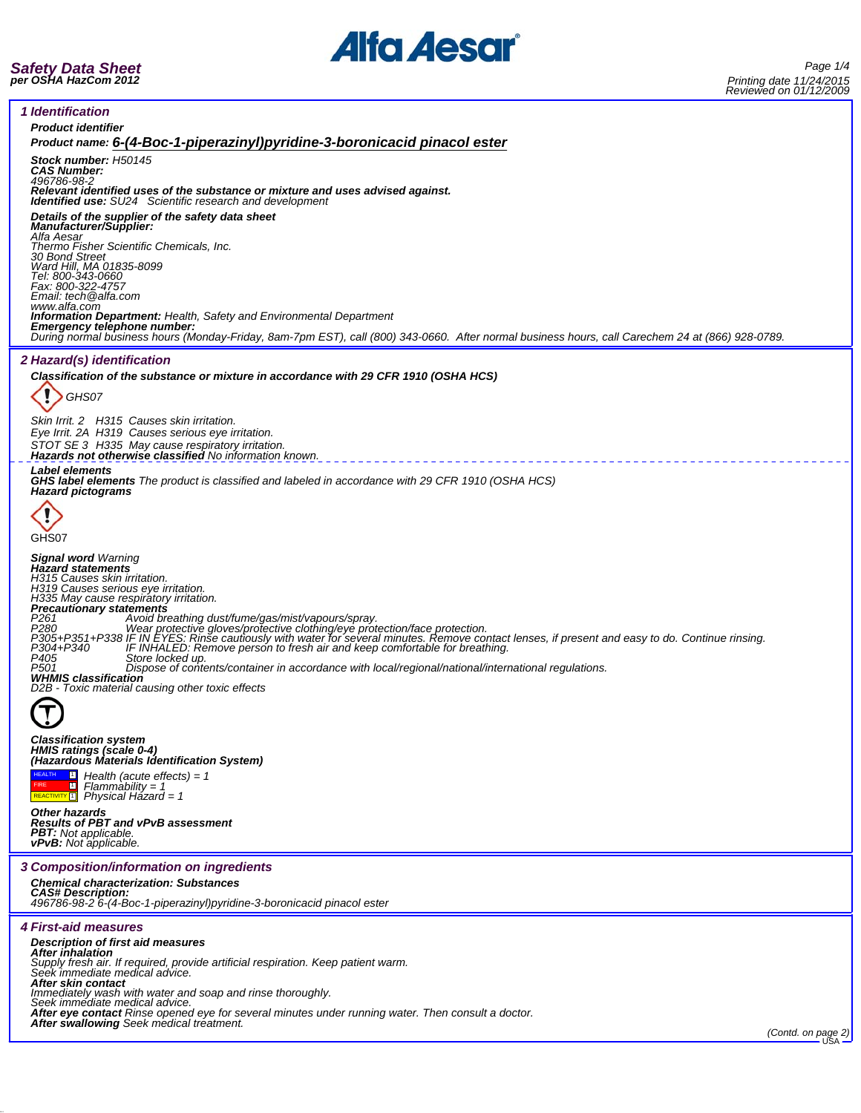

*Safety Data Sheet per OSHA HazCom 2012*

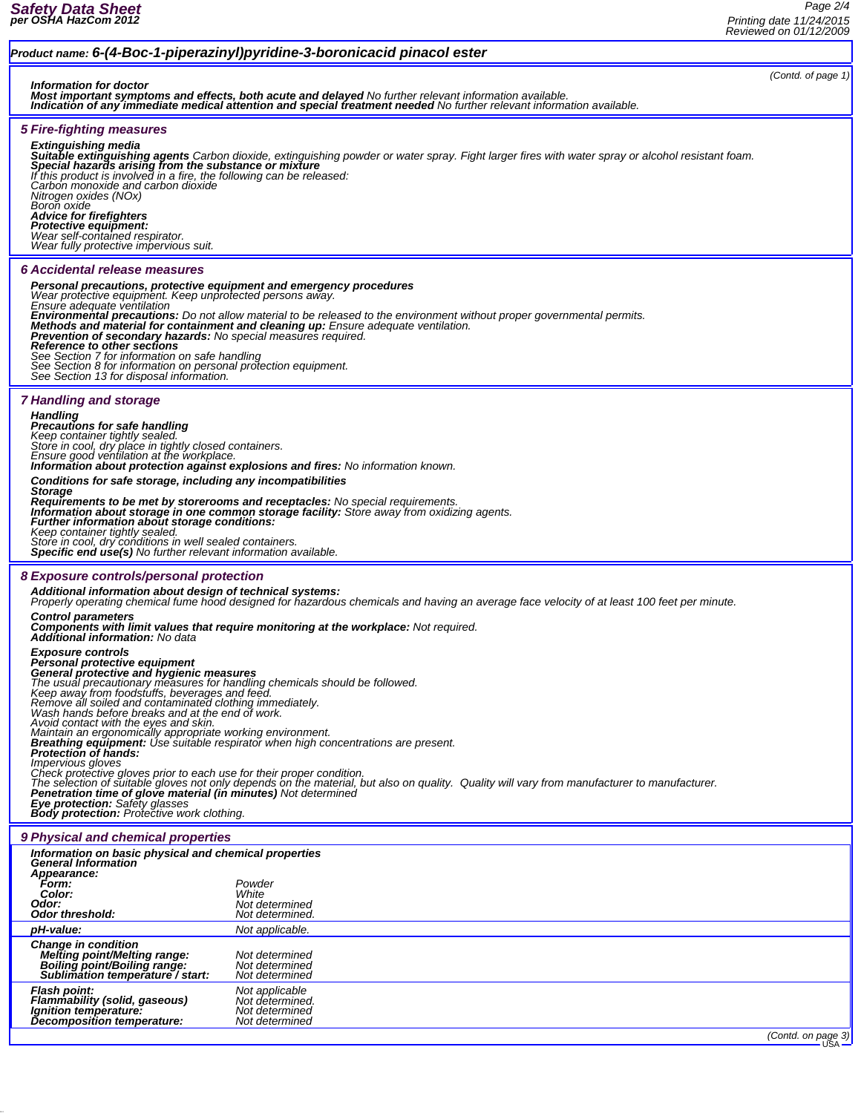*(Contd. of page 1)*

## *Product name: 6-(4-Boc-1-piperazinyl)pyridine-3-boronicacid pinacol ester*

*Information for doctor Most important symptoms and effects, both acute and delayed No further relevant information available. Indication of any immediate medical attention and special treatment needed No further relevant information available.*

## *5 Fire-fighting measures*

**Extinguishing media**<br>**Suitable extinguishing agents** Carbon dioxide, extinguishing powder or water spray. Fight larger fires with water spray or alcohol resistant foam.<br>**Special hazards arising from the substance or mixtu** *If this product is involved in a fire, the following can be released: Carbon monoxide and carbon dioxide Nitrogen oxides (NOx) Boron oxide Advice for firefighters Protective equipment: Wear self-contained respirator. Wear fully protective impervious suit. 6 Accidental release measures Personal precautions, protective equipment and emergency procedures Ensure adequate ventilation*<br>**Environmental precautions:** Do not allow material to be released to the environment without proper governmental permits. **Environmental precautions:** Do not allow material to be released to the environment without proper governmental permits.<br>**Methods and material for containment and cleaning up:** Ensure adequate ventilation.<br>**Prevention of** *7 Handling and storage Handling<br>Precautions for safe handling<br>Keep container tightly sealed.<br>Store in cool, dry place in tightly closed containers.<br>Ensure good ventilation at the workplace. Information about protection against explosions and fires: No information known. Conditions for safe storage, including any incompatibilities Storage* Requirements to be met by storerooms and receptacles: No special requirements.<br>Information about storage in one common storage facility: Store away from oxidizing agents.<br>Further information about storage conditions: *Keep container tightly sealed. Store in cool, dry conditions in well sealed containers. Specific end use(s) No further relevant information available. 8 Exposure controls/personal protection Additional information about design of technical systems: Properly operating chemical fume hood designed for hazardous chemicals and having an average face velocity of at least 100 feet per minute. Control parameters* **Components with limit values that require monitoring at the workplace: Not required.**<br>Additional information: No data *Exposure controls* **Personal protective equipment<br>General protective and hygienic measures<br>The usual precautionary measures for handling chemicals should be followed.<br>Keep away from foodstuffs, beverages and feed.** *Remove all soiled and contaminated clothing immediately. Wash hands before breaks and at the end of work.* Avoid contact with the eyes and skin.<br>Maintain an ergonomically appropriate working environment.<br>**Breathing equipment:** Use suitable respirator when high concentrations are present.<br>**Protection of hands:** Impervious gloves<br>Check protective gloves prior to each use for their proper condition.<br>The selection of suitable gloves not only depends on the material, but also on quality. Quality will vary from manufacturer to manufac *Eye protection: Safety glasses Body protection: Protective work clothing. 9 Physical and chemical properties Information on basic physical and chemical properties General Information Appearance: Form: Powder Color: White Odor: Not determined Odor threshold: Not determined. pH-value: Not applicable. Change in condition Melting point/Melting range: Not determined Boiling point/Boiling range: Not determined Sublimation temperature / start: Not determined Flash point: Not applicable Flammability (solid, gaseous) Not determined. Ignition temperature: Not determined Decomposition temperature: (Contd. on page 3)*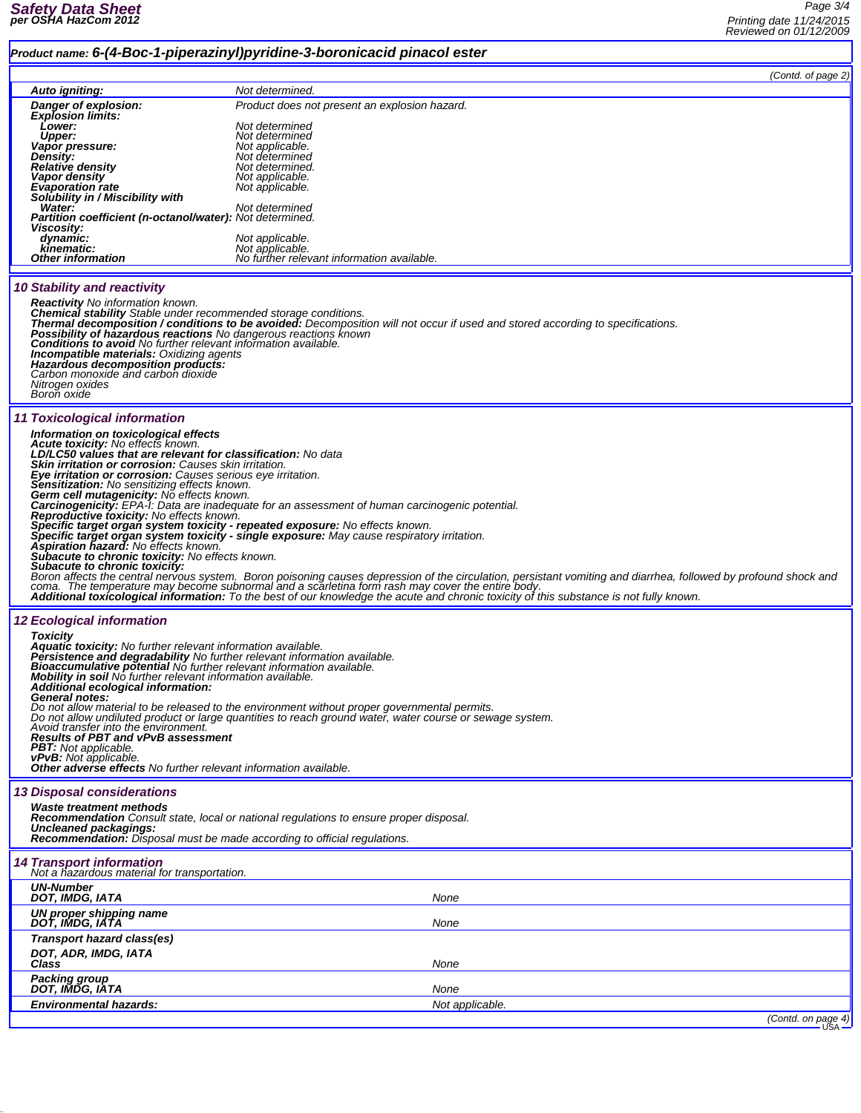## *Product name: 6-(4-Boc-1-piperazinyl)pyridine-3-boronicacid pinacol ester*

*(Contd. of page 2)*

|                                                                                                                                                  | (Contd. of page 2)                                                                                                                                                                                                                                                                                                                                                           |
|--------------------------------------------------------------------------------------------------------------------------------------------------|------------------------------------------------------------------------------------------------------------------------------------------------------------------------------------------------------------------------------------------------------------------------------------------------------------------------------------------------------------------------------|
| Auto igniting:                                                                                                                                   | Not determined.                                                                                                                                                                                                                                                                                                                                                              |
| Danger of explosion:<br><b>Explosion limits:</b>                                                                                                 | Product does not present an explosion hazard.                                                                                                                                                                                                                                                                                                                                |
| Lower:<br><b>Upper:</b>                                                                                                                          | Not determined<br>Not determined                                                                                                                                                                                                                                                                                                                                             |
| Vapor pressure:                                                                                                                                  | Not applicable.                                                                                                                                                                                                                                                                                                                                                              |
| Density:<br>Relative density                                                                                                                     | Not determined<br>Not determined.                                                                                                                                                                                                                                                                                                                                            |
| <b>Vapor density</b>                                                                                                                             | Not applicable.                                                                                                                                                                                                                                                                                                                                                              |
| <b>Evaporation rate</b><br>Solubility in / Miscibility with                                                                                      | Not applicable.                                                                                                                                                                                                                                                                                                                                                              |
| Water:<br><b>Partition coefficient (n-octanol/water): Not determined.</b>                                                                        | Not determined                                                                                                                                                                                                                                                                                                                                                               |
| Viscosity:<br>dynamic:                                                                                                                           | Not applicable.                                                                                                                                                                                                                                                                                                                                                              |
| kinematic:                                                                                                                                       | Not applicable.                                                                                                                                                                                                                                                                                                                                                              |
| <b>Other information</b>                                                                                                                         | No further relevant information available.                                                                                                                                                                                                                                                                                                                                   |
| <b>10 Stability and reactivity</b>                                                                                                               |                                                                                                                                                                                                                                                                                                                                                                              |
| <b>Reactivity</b> No information known.                                                                                                          |                                                                                                                                                                                                                                                                                                                                                                              |
| Chemical stability Stable under recommended storage conditions.                                                                                  | Thermal decomposition / conditions to be avoided: Decomposition will not occur if used and stored according to specifications.                                                                                                                                                                                                                                               |
| <b>Possibility of hazardous reactions</b> No dangerous reactions known                                                                           |                                                                                                                                                                                                                                                                                                                                                                              |
| <b>Conditions to avoid</b> No further relevant information available.<br><b>Incompatible materials: Oxidizing agents</b>                         |                                                                                                                                                                                                                                                                                                                                                                              |
| Hazardous decomposition products:                                                                                                                |                                                                                                                                                                                                                                                                                                                                                                              |
| Carbon monoxide and carbon dioxide<br>Nitrogen oxides                                                                                            |                                                                                                                                                                                                                                                                                                                                                                              |
| Boron oxide                                                                                                                                      |                                                                                                                                                                                                                                                                                                                                                                              |
| 11 Toxicological information                                                                                                                     |                                                                                                                                                                                                                                                                                                                                                                              |
| Information on toxicological effects                                                                                                             |                                                                                                                                                                                                                                                                                                                                                                              |
| Acute toxicity: No effects known.<br>LD/LC50 values that are relevant for classification: No data                                                |                                                                                                                                                                                                                                                                                                                                                                              |
| Skin irritation or corrosion: Causes skin irritation.                                                                                            |                                                                                                                                                                                                                                                                                                                                                                              |
| Eye irritation or corrosion: Causes serious eye irritation.<br>Sensitization: No sensitizing effects known.                                      |                                                                                                                                                                                                                                                                                                                                                                              |
| Germ cell mutagenicity: No effects known.                                                                                                        |                                                                                                                                                                                                                                                                                                                                                                              |
| Reproductive toxicity: No effects known.                                                                                                         | <b>Carcinogenicity:</b> EPA-1: Data are inadequate for an assessment of human carcinogenic potential.                                                                                                                                                                                                                                                                        |
|                                                                                                                                                  | Specific target organ system toxicity - repeated exposure: No effects known.                                                                                                                                                                                                                                                                                                 |
| Aspiration hazard: No effects known.                                                                                                             | Specific target organ system toxicity - single exposure: May cause respiratory irritation.                                                                                                                                                                                                                                                                                   |
| <b>Subacute to chronic toxicity:</b> No effects known.                                                                                           |                                                                                                                                                                                                                                                                                                                                                                              |
| Subacute to chronic toxicity:                                                                                                                    |                                                                                                                                                                                                                                                                                                                                                                              |
|                                                                                                                                                  | Boron affects the central nervous system. Boron poisoning causes depression of the circulation, persistant vomiting and diarrhea, followed by profound shock and<br>coma. The temperature may become subnormal and a scarletina f<br>Additional toxicological information: To the best of our knowledge the acute and chronic toxicity of this substance is not fully known. |
|                                                                                                                                                  |                                                                                                                                                                                                                                                                                                                                                                              |
| <b>12 Ecological information</b><br><b>Toxicity</b>                                                                                              |                                                                                                                                                                                                                                                                                                                                                                              |
| <b>Aquatic toxicity:</b> No further relevant information available.                                                                              |                                                                                                                                                                                                                                                                                                                                                                              |
| Persistence and degradability No further relevant information available.<br>Bioaccumulative potential No further relevant information available. |                                                                                                                                                                                                                                                                                                                                                                              |
| Mobility in soil No further relevant information available.                                                                                      |                                                                                                                                                                                                                                                                                                                                                                              |
| Additional ecological information:<br><b>General notes:</b>                                                                                      |                                                                                                                                                                                                                                                                                                                                                                              |
|                                                                                                                                                  | Do not allow material to be released to the environment without proper governmental permits.                                                                                                                                                                                                                                                                                 |
| Avoid transfer into the environment.                                                                                                             | Do not allow undiluted product or large quantities to reach ground water, water course or sewage system.                                                                                                                                                                                                                                                                     |
| <b>Results of PBT and vPvB assessment</b><br><b>PBT:</b> Not applicable.                                                                         |                                                                                                                                                                                                                                                                                                                                                                              |
| vPvB: Not applicable.                                                                                                                            |                                                                                                                                                                                                                                                                                                                                                                              |
| Other adverse effects No further relevant information available.                                                                                 |                                                                                                                                                                                                                                                                                                                                                                              |
| <b>13 Disposal considerations</b>                                                                                                                |                                                                                                                                                                                                                                                                                                                                                                              |
| Waste treatment methods                                                                                                                          | <b>Recommendation</b> Consult state, local or national regulations to ensure proper disposal.                                                                                                                                                                                                                                                                                |
| Uncleaned packagings:                                                                                                                            |                                                                                                                                                                                                                                                                                                                                                                              |
| <b>Recommendation:</b> Disposal must be made according to official regulations.                                                                  |                                                                                                                                                                                                                                                                                                                                                                              |
| <b>14 Transport information</b><br>Not a hazardous material for transportation.                                                                  |                                                                                                                                                                                                                                                                                                                                                                              |
| <b>UN-Number</b>                                                                                                                                 |                                                                                                                                                                                                                                                                                                                                                                              |
| DOT, IMDG, IATA                                                                                                                                  | None                                                                                                                                                                                                                                                                                                                                                                         |
| UN proper shipping name<br>DOT, IMDG, IATA                                                                                                       | None                                                                                                                                                                                                                                                                                                                                                                         |
| Transport hazard class(es)                                                                                                                       |                                                                                                                                                                                                                                                                                                                                                                              |
| DOT, ADR, IMDG, IATA<br>Class                                                                                                                    | None                                                                                                                                                                                                                                                                                                                                                                         |
|                                                                                                                                                  |                                                                                                                                                                                                                                                                                                                                                                              |
| Packing group<br>DOT, IMDG, IATA                                                                                                                 | None                                                                                                                                                                                                                                                                                                                                                                         |
| <b>Environmental hazards:</b>                                                                                                                    | Not applicable.                                                                                                                                                                                                                                                                                                                                                              |
|                                                                                                                                                  | (Contd. on page 4)                                                                                                                                                                                                                                                                                                                                                           |